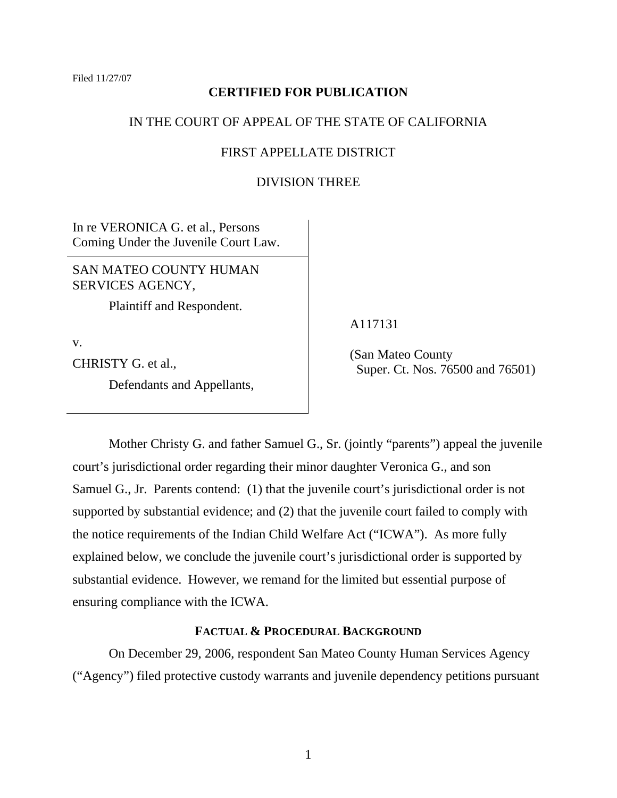# **CERTIFIED FOR PUBLICATION**

# IN THE COURT OF APPEAL OF THE STATE OF CALIFORNIA

# FIRST APPELLATE DISTRICT

# DIVISION THREE

In re VERONICA G. et al., Persons Coming Under the Juvenile Court Law.

SAN MATEO COUNTY HUMAN SERVICES AGENCY,

Plaintiff and Respondent.

v.

CHRISTY G. et al.,

Defendants and Appellants,

A117131

 (San Mateo County Super. Ct. Nos. 76500 and 76501)

 Mother Christy G. and father Samuel G., Sr. (jointly "parents") appeal the juvenile court's jurisdictional order regarding their minor daughter Veronica G., and son Samuel G., Jr. Parents contend: (1) that the juvenile court's jurisdictional order is not supported by substantial evidence; and (2) that the juvenile court failed to comply with the notice requirements of the Indian Child Welfare Act ("ICWA"). As more fully explained below, we conclude the juvenile court's jurisdictional order is supported by substantial evidence. However, we remand for the limited but essential purpose of ensuring compliance with the ICWA.

### **FACTUAL & PROCEDURAL BACKGROUND**

 On December 29, 2006, respondent San Mateo County Human Services Agency ("Agency") filed protective custody warrants and juvenile dependency petitions pursuant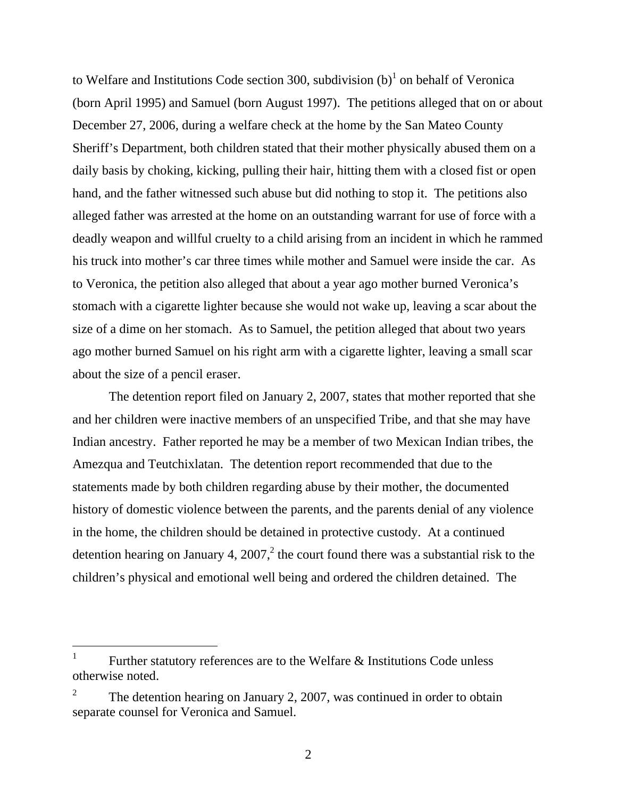to Welfare and Institutions Code section 300, subdivision  $(b)^{1}$  on behalf of Veronica (born April 1995) and Samuel (born August 1997). The petitions alleged that on or about December 27, 2006, during a welfare check at the home by the San Mateo County Sheriff's Department, both children stated that their mother physically abused them on a daily basis by choking, kicking, pulling their hair, hitting them with a closed fist or open hand, and the father witnessed such abuse but did nothing to stop it. The petitions also alleged father was arrested at the home on an outstanding warrant for use of force with a deadly weapon and willful cruelty to a child arising from an incident in which he rammed his truck into mother's car three times while mother and Samuel were inside the car. As to Veronica, the petition also alleged that about a year ago mother burned Veronica's stomach with a cigarette lighter because she would not wake up, leaving a scar about the size of a dime on her stomach. As to Samuel, the petition alleged that about two years ago mother burned Samuel on his right arm with a cigarette lighter, leaving a small scar about the size of a pencil eraser.

 The detention report filed on January 2, 2007, states that mother reported that she and her children were inactive members of an unspecified Tribe, and that she may have Indian ancestry. Father reported he may be a member of two Mexican Indian tribes, the Amezqua and Teutchixlatan. The detention report recommended that due to the statements made by both children regarding abuse by their mother, the documented history of domestic violence between the parents, and the parents denial of any violence in the home, the children should be detained in protective custody. At a continued detention hearing on January 4, 2007,<sup>2</sup> the court found there was a substantial risk to the children's physical and emotional well being and ordered the children detained. The

 $\overline{a}$ 

<sup>1</sup> Further statutory references are to the Welfare & Institutions Code unless otherwise noted.

<sup>2</sup> The detention hearing on January 2, 2007, was continued in order to obtain separate counsel for Veronica and Samuel.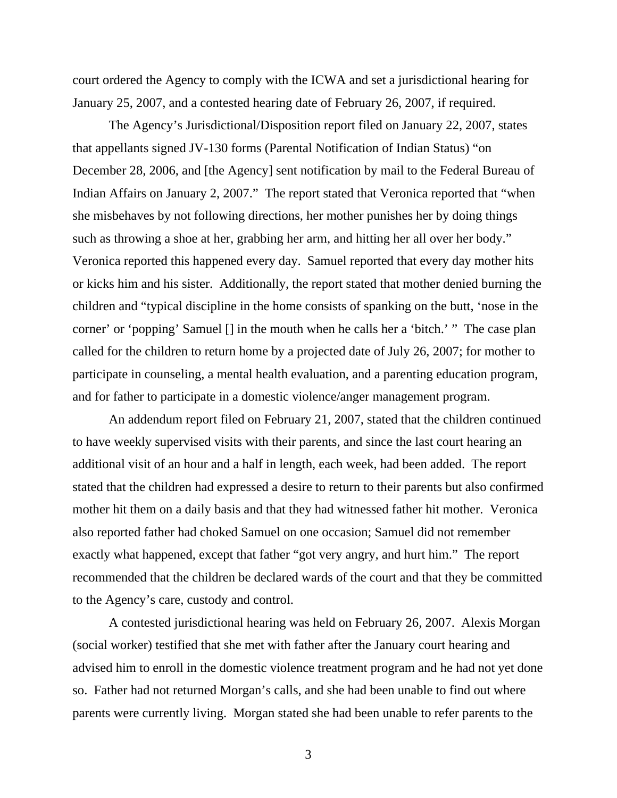court ordered the Agency to comply with the ICWA and set a jurisdictional hearing for January 25, 2007, and a contested hearing date of February 26, 2007, if required.

 The Agency's Jurisdictional/Disposition report filed on January 22, 2007, states that appellants signed JV-130 forms (Parental Notification of Indian Status) "on December 28, 2006, and [the Agency] sent notification by mail to the Federal Bureau of Indian Affairs on January 2, 2007." The report stated that Veronica reported that "when she misbehaves by not following directions, her mother punishes her by doing things such as throwing a shoe at her, grabbing her arm, and hitting her all over her body." Veronica reported this happened every day. Samuel reported that every day mother hits or kicks him and his sister. Additionally, the report stated that mother denied burning the children and "typical discipline in the home consists of spanking on the butt, 'nose in the corner' or 'popping' Samuel [] in the mouth when he calls her a 'bitch.' " The case plan called for the children to return home by a projected date of July 26, 2007; for mother to participate in counseling, a mental health evaluation, and a parenting education program, and for father to participate in a domestic violence/anger management program.

 An addendum report filed on February 21, 2007, stated that the children continued to have weekly supervised visits with their parents, and since the last court hearing an additional visit of an hour and a half in length, each week, had been added. The report stated that the children had expressed a desire to return to their parents but also confirmed mother hit them on a daily basis and that they had witnessed father hit mother. Veronica also reported father had choked Samuel on one occasion; Samuel did not remember exactly what happened, except that father "got very angry, and hurt him." The report recommended that the children be declared wards of the court and that they be committed to the Agency's care, custody and control.

 A contested jurisdictional hearing was held on February 26, 2007. Alexis Morgan (social worker) testified that she met with father after the January court hearing and advised him to enroll in the domestic violence treatment program and he had not yet done so. Father had not returned Morgan's calls, and she had been unable to find out where parents were currently living. Morgan stated she had been unable to refer parents to the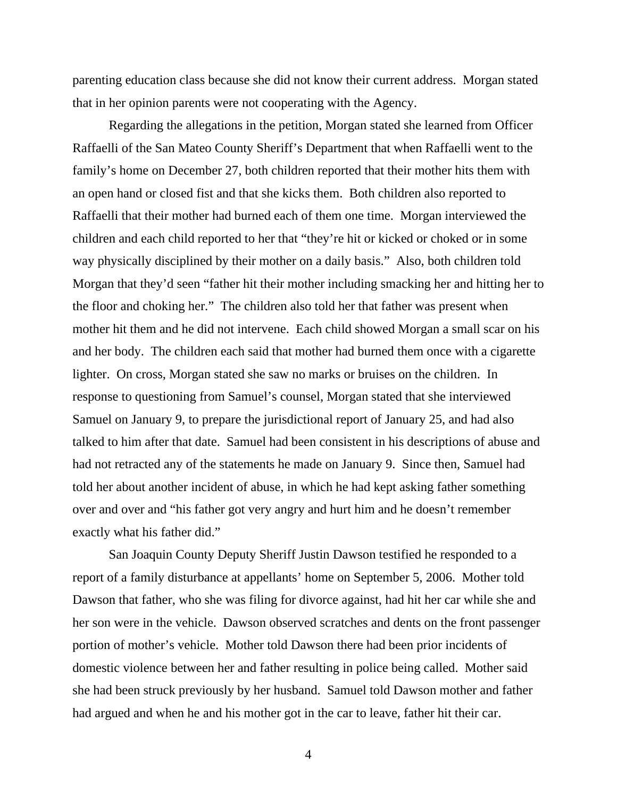parenting education class because she did not know their current address. Morgan stated that in her opinion parents were not cooperating with the Agency.

 Regarding the allegations in the petition, Morgan stated she learned from Officer Raffaelli of the San Mateo County Sheriff's Department that when Raffaelli went to the family's home on December 27, both children reported that their mother hits them with an open hand or closed fist and that she kicks them. Both children also reported to Raffaelli that their mother had burned each of them one time. Morgan interviewed the children and each child reported to her that "they're hit or kicked or choked or in some way physically disciplined by their mother on a daily basis." Also, both children told Morgan that they'd seen "father hit their mother including smacking her and hitting her to the floor and choking her." The children also told her that father was present when mother hit them and he did not intervene. Each child showed Morgan a small scar on his and her body. The children each said that mother had burned them once with a cigarette lighter. On cross, Morgan stated she saw no marks or bruises on the children. In response to questioning from Samuel's counsel, Morgan stated that she interviewed Samuel on January 9, to prepare the jurisdictional report of January 25, and had also talked to him after that date. Samuel had been consistent in his descriptions of abuse and had not retracted any of the statements he made on January 9. Since then, Samuel had told her about another incident of abuse, in which he had kept asking father something over and over and "his father got very angry and hurt him and he doesn't remember exactly what his father did."

 San Joaquin County Deputy Sheriff Justin Dawson testified he responded to a report of a family disturbance at appellants' home on September 5, 2006. Mother told Dawson that father, who she was filing for divorce against, had hit her car while she and her son were in the vehicle. Dawson observed scratches and dents on the front passenger portion of mother's vehicle. Mother told Dawson there had been prior incidents of domestic violence between her and father resulting in police being called. Mother said she had been struck previously by her husband. Samuel told Dawson mother and father had argued and when he and his mother got in the car to leave, father hit their car.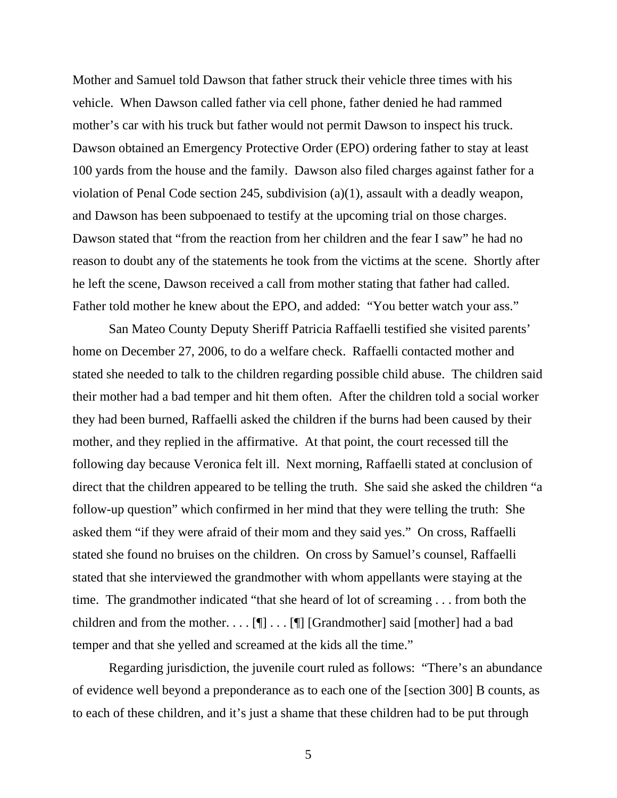Mother and Samuel told Dawson that father struck their vehicle three times with his vehicle. When Dawson called father via cell phone, father denied he had rammed mother's car with his truck but father would not permit Dawson to inspect his truck. Dawson obtained an Emergency Protective Order (EPO) ordering father to stay at least 100 yards from the house and the family. Dawson also filed charges against father for a violation of Penal Code section 245, subdivision (a)(1), assault with a deadly weapon, and Dawson has been subpoenaed to testify at the upcoming trial on those charges. Dawson stated that "from the reaction from her children and the fear I saw" he had no reason to doubt any of the statements he took from the victims at the scene. Shortly after he left the scene, Dawson received a call from mother stating that father had called. Father told mother he knew about the EPO, and added: "You better watch your ass."

 San Mateo County Deputy Sheriff Patricia Raffaelli testified she visited parents' home on December 27, 2006, to do a welfare check. Raffaelli contacted mother and stated she needed to talk to the children regarding possible child abuse. The children said their mother had a bad temper and hit them often. After the children told a social worker they had been burned, Raffaelli asked the children if the burns had been caused by their mother, and they replied in the affirmative. At that point, the court recessed till the following day because Veronica felt ill. Next morning, Raffaelli stated at conclusion of direct that the children appeared to be telling the truth. She said she asked the children "a follow-up question" which confirmed in her mind that they were telling the truth: She asked them "if they were afraid of their mom and they said yes." On cross, Raffaelli stated she found no bruises on the children. On cross by Samuel's counsel, Raffaelli stated that she interviewed the grandmother with whom appellants were staying at the time. The grandmother indicated "that she heard of lot of screaming . . . from both the children and from the mother. . . .  $[\P]$  . . .  $[\P]$  [Grandmother] said [mother] had a bad temper and that she yelled and screamed at the kids all the time."

 Regarding jurisdiction, the juvenile court ruled as follows: "There's an abundance of evidence well beyond a preponderance as to each one of the [section 300] B counts, as to each of these children, and it's just a shame that these children had to be put through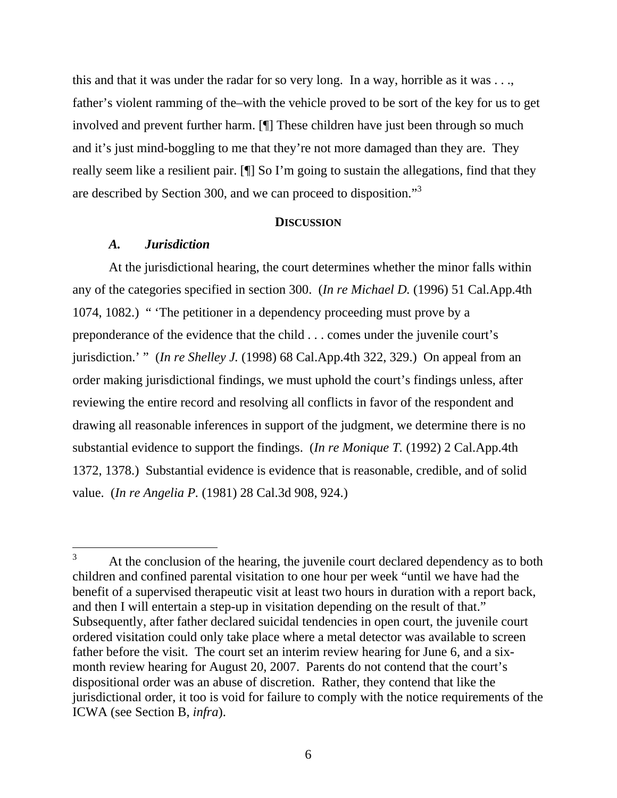this and that it was under the radar for so very long. In a way, horrible as it was . . ., father's violent ramming of the–with the vehicle proved to be sort of the key for us to get involved and prevent further harm. [¶] These children have just been through so much and it's just mind-boggling to me that they're not more damaged than they are. They really seem like a resilient pair. [¶] So I'm going to sustain the allegations, find that they are described by Section 300, and we can proceed to disposition."<sup>3</sup>

#### **DISCUSSION**

### *A. Jurisdiction*

 $\overline{a}$ 

 At the jurisdictional hearing, the court determines whether the minor falls within any of the categories specified in section 300. (*In re Michael D.* (1996) 51 Cal.App.4th 1074, 1082.) " 'The petitioner in a dependency proceeding must prove by a preponderance of the evidence that the child . . . comes under the juvenile court's jurisdiction.' " (*In re Shelley J.* (1998) 68 Cal.App.4th 322, 329.) On appeal from an order making jurisdictional findings, we must uphold the court's findings unless, after reviewing the entire record and resolving all conflicts in favor of the respondent and drawing all reasonable inferences in support of the judgment, we determine there is no substantial evidence to support the findings. (*In re Monique T.* (1992) 2 Cal.App.4th 1372, 1378.) Substantial evidence is evidence that is reasonable, credible, and of solid value. (*In re Angelia P.* (1981) 28 Cal.3d 908, 924.)

<sup>3</sup> At the conclusion of the hearing, the juvenile court declared dependency as to both children and confined parental visitation to one hour per week "until we have had the benefit of a supervised therapeutic visit at least two hours in duration with a report back, and then I will entertain a step-up in visitation depending on the result of that." Subsequently, after father declared suicidal tendencies in open court, the juvenile court ordered visitation could only take place where a metal detector was available to screen father before the visit. The court set an interim review hearing for June 6, and a sixmonth review hearing for August 20, 2007. Parents do not contend that the court's dispositional order was an abuse of discretion. Rather, they contend that like the jurisdictional order, it too is void for failure to comply with the notice requirements of the ICWA (see Section B, *infra*).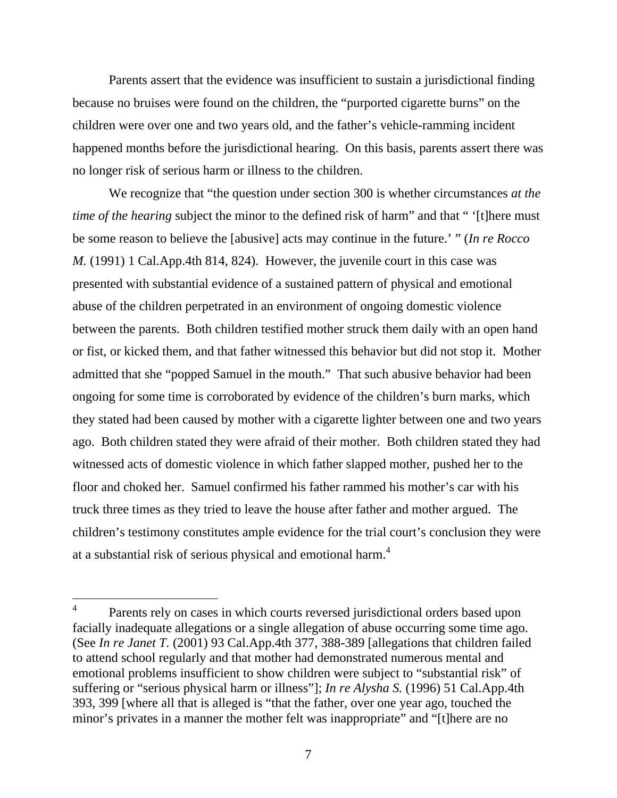Parents assert that the evidence was insufficient to sustain a jurisdictional finding because no bruises were found on the children, the "purported cigarette burns" on the children were over one and two years old, and the father's vehicle-ramming incident happened months before the jurisdictional hearing. On this basis, parents assert there was no longer risk of serious harm or illness to the children.

 We recognize that "the question under section 300 is whether circumstances *at the time of the hearing* subject the minor to the defined risk of harm" and that " '[t]here must be some reason to believe the [abusive] acts may continue in the future.' " (*In re Rocco M.* (1991) 1 Cal.App.4th 814, 824). However, the juvenile court in this case was presented with substantial evidence of a sustained pattern of physical and emotional abuse of the children perpetrated in an environment of ongoing domestic violence between the parents. Both children testified mother struck them daily with an open hand or fist, or kicked them, and that father witnessed this behavior but did not stop it. Mother admitted that she "popped Samuel in the mouth." That such abusive behavior had been ongoing for some time is corroborated by evidence of the children's burn marks, which they stated had been caused by mother with a cigarette lighter between one and two years ago. Both children stated they were afraid of their mother. Both children stated they had witnessed acts of domestic violence in which father slapped mother, pushed her to the floor and choked her. Samuel confirmed his father rammed his mother's car with his truck three times as they tried to leave the house after father and mother argued. The children's testimony constitutes ample evidence for the trial court's conclusion they were at a substantial risk of serious physical and emotional harm.<sup>4</sup>

<sup>4</sup> Parents rely on cases in which courts reversed jurisdictional orders based upon facially inadequate allegations or a single allegation of abuse occurring some time ago. (See *In re Janet T.* (2001) 93 Cal.App.4th 377, 388-389 [allegations that children failed to attend school regularly and that mother had demonstrated numerous mental and emotional problems insufficient to show children were subject to "substantial risk" of suffering or "serious physical harm or illness"]; *In re Alysha S.* (1996) 51 Cal.App.4th 393, 399 [where all that is alleged is "that the father, over one year ago, touched the minor's privates in a manner the mother felt was inappropriate" and "[t]here are no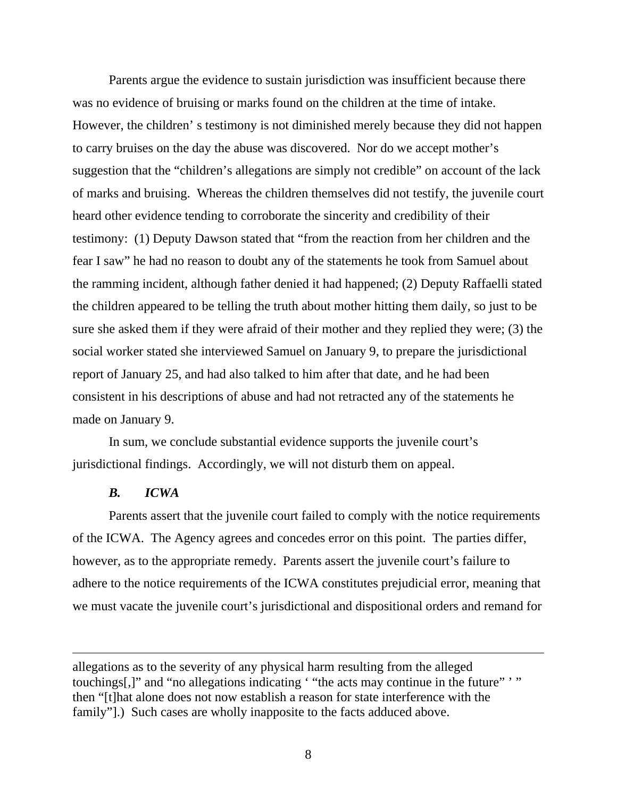Parents argue the evidence to sustain jurisdiction was insufficient because there was no evidence of bruising or marks found on the children at the time of intake. However, the children' s testimony is not diminished merely because they did not happen to carry bruises on the day the abuse was discovered. Nor do we accept mother's suggestion that the "children's allegations are simply not credible" on account of the lack of marks and bruising. Whereas the children themselves did not testify, the juvenile court heard other evidence tending to corroborate the sincerity and credibility of their testimony: (1) Deputy Dawson stated that "from the reaction from her children and the fear I saw" he had no reason to doubt any of the statements he took from Samuel about the ramming incident, although father denied it had happened; (2) Deputy Raffaelli stated the children appeared to be telling the truth about mother hitting them daily, so just to be sure she asked them if they were afraid of their mother and they replied they were; (3) the social worker stated she interviewed Samuel on January 9, to prepare the jurisdictional report of January 25, and had also talked to him after that date, and he had been consistent in his descriptions of abuse and had not retracted any of the statements he made on January 9.

 In sum, we conclude substantial evidence supports the juvenile court's jurisdictional findings. Accordingly, we will not disturb them on appeal.

#### *B. ICWA*

 $\overline{a}$ 

 Parents assert that the juvenile court failed to comply with the notice requirements of the ICWA. The Agency agrees and concedes error on this point. The parties differ, however, as to the appropriate remedy. Parents assert the juvenile court's failure to adhere to the notice requirements of the ICWA constitutes prejudicial error, meaning that we must vacate the juvenile court's jurisdictional and dispositional orders and remand for

allegations as to the severity of any physical harm resulting from the alleged touchings[,]" and "no allegations indicating ' "the acts may continue in the future" '" then "[t]hat alone does not now establish a reason for state interference with the family"].) Such cases are wholly inapposite to the facts adduced above.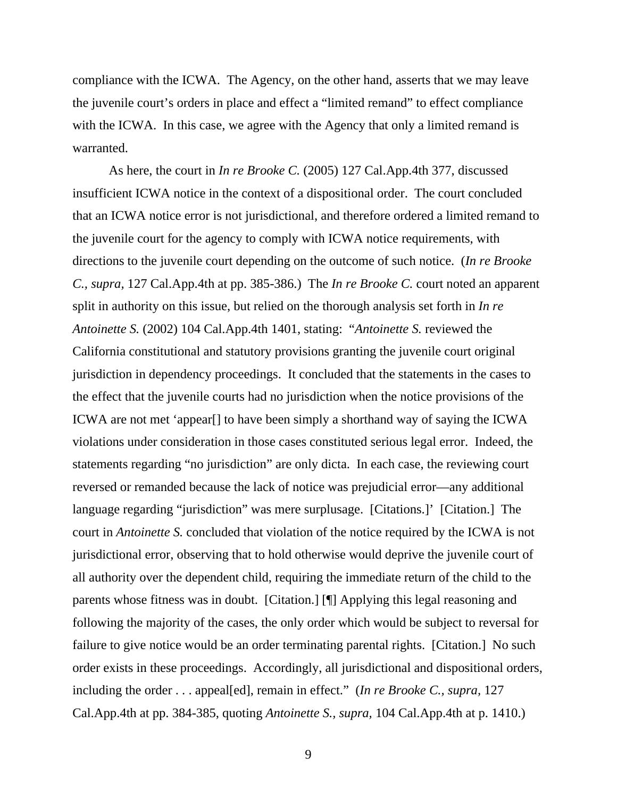compliance with the ICWA. The Agency, on the other hand, asserts that we may leave the juvenile court's orders in place and effect a "limited remand" to effect compliance with the ICWA. In this case, we agree with the Agency that only a limited remand is warranted.

 As here, the court in *In re Brooke C.* (2005) 127 Cal.App.4th 377, discussed insufficient ICWA notice in the context of a dispositional order. The court concluded that an ICWA notice error is not jurisdictional, and therefore ordered a limited remand to the juvenile court for the agency to comply with ICWA notice requirements, with directions to the juvenile court depending on the outcome of such notice. (*In re Brooke C., supra,* 127 Cal.App.4th at pp. 385-386.) The *In re Brooke C.* court noted an apparent split in authority on this issue, but relied on the thorough analysis set forth in *In re Antoinette S.* (2002) 104 Cal.App.4th 1401, stating: "*Antoinette S.* reviewed the California constitutional and statutory provisions granting the juvenile court original jurisdiction in dependency proceedings. It concluded that the statements in the cases to the effect that the juvenile courts had no jurisdiction when the notice provisions of the ICWA are not met 'appear[] to have been simply a shorthand way of saying the ICWA violations under consideration in those cases constituted serious legal error. Indeed, the statements regarding "no jurisdiction" are only dicta. In each case, the reviewing court reversed or remanded because the lack of notice was prejudicial error—any additional language regarding "jurisdiction" was mere surplusage. [Citations.]' [Citation.] The court in *Antoinette S.* concluded that violation of the notice required by the ICWA is not jurisdictional error, observing that to hold otherwise would deprive the juvenile court of all authority over the dependent child, requiring the immediate return of the child to the parents whose fitness was in doubt. [Citation.] [¶] Applying this legal reasoning and following the majority of the cases, the only order which would be subject to reversal for failure to give notice would be an order terminating parental rights. [Citation.] No such order exists in these proceedings. Accordingly, all jurisdictional and dispositional orders, including the order . . . appeal[ed], remain in effect." (*In re Brooke C., supra,* 127 Cal.App.4th at pp. 384-385, quoting *Antoinette S., supra,* 104 Cal.App.4th at p. 1410.)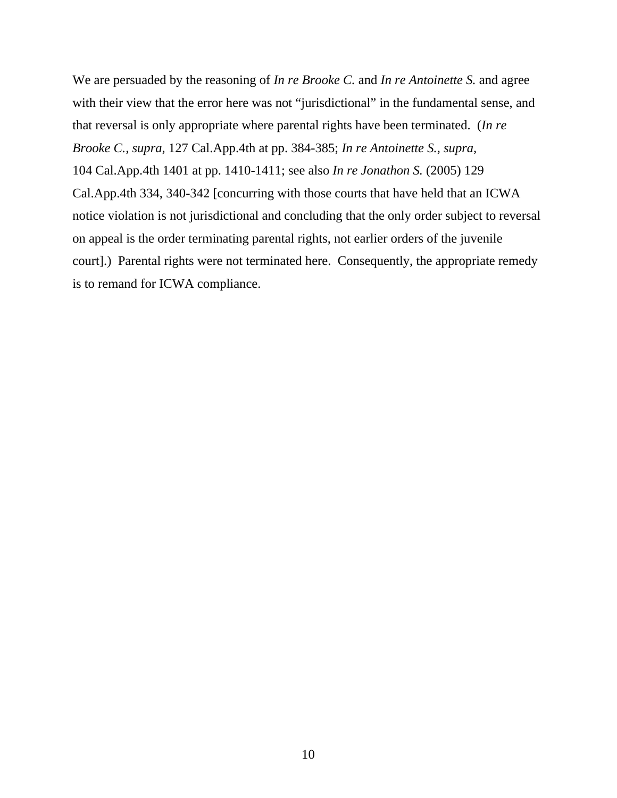We are persuaded by the reasoning of *In re Brooke C.* and *In re Antoinette S.* and agree with their view that the error here was not "jurisdictional" in the fundamental sense, and that reversal is only appropriate where parental rights have been terminated. (*In re Brooke C., supra,* 127 Cal.App.4th at pp. 384-385; *In re Antoinette S., supra,* 104 Cal.App.4th 1401 at pp. 1410-1411; see also *In re Jonathon S.* (2005) 129 Cal.App.4th 334, 340-342 [concurring with those courts that have held that an ICWA notice violation is not jurisdictional and concluding that the only order subject to reversal on appeal is the order terminating parental rights, not earlier orders of the juvenile court].) Parental rights were not terminated here. Consequently, the appropriate remedy is to remand for ICWA compliance.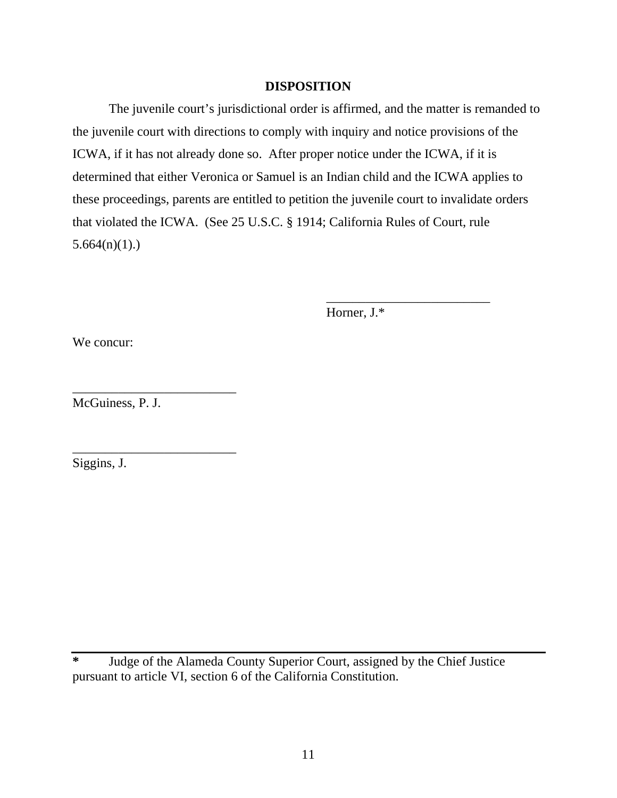# **DISPOSITION**

 The juvenile court's jurisdictional order is affirmed, and the matter is remanded to the juvenile court with directions to comply with inquiry and notice provisions of the ICWA, if it has not already done so. After proper notice under the ICWA, if it is determined that either Veronica or Samuel is an Indian child and the ICWA applies to these proceedings, parents are entitled to petition the juvenile court to invalidate orders that violated the ICWA. (See 25 U.S.C. § 1914; California Rules of Court, rule  $5.664(n)(1)$ .

 $\frac{1}{2}$  , and the contract of the contract of the contract of the contract of the contract of the contract of the contract of the contract of the contract of the contract of the contract of the contract of the contract

Horner, J.\*

We concur:

McGuiness, P. J.

\_\_\_\_\_\_\_\_\_\_\_\_\_\_\_\_\_\_\_\_\_\_\_\_\_

\_\_\_\_\_\_\_\_\_\_\_\_\_\_\_\_\_\_\_\_\_\_\_\_\_

Siggins, J.

**\*** Judge of the Alameda County Superior Court, assigned by the Chief Justice pursuant to article VI, section 6 of the California Constitution.